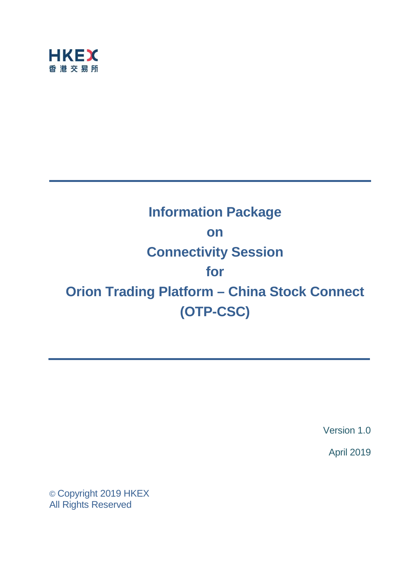

# **Information Package on Connectivity Session for Orion Trading Platform – China Stock Connect (OTP-CSC)**

Version 1.0

April 2019

© Copyright 2019 HKEX All Rights Reserved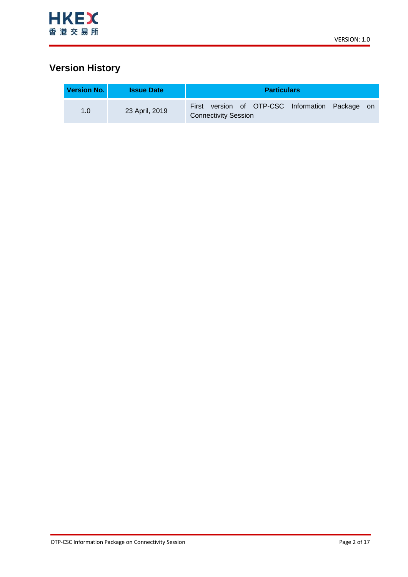

# **Version History**

| <b>Version No. I</b> | <b>Issue Date</b> | <b>Particulars</b>                                                             |  |  |
|----------------------|-------------------|--------------------------------------------------------------------------------|--|--|
| 1.0                  | 23 April, 2019    | First version of OTP-CSC Information Package on<br><b>Connectivity Session</b> |  |  |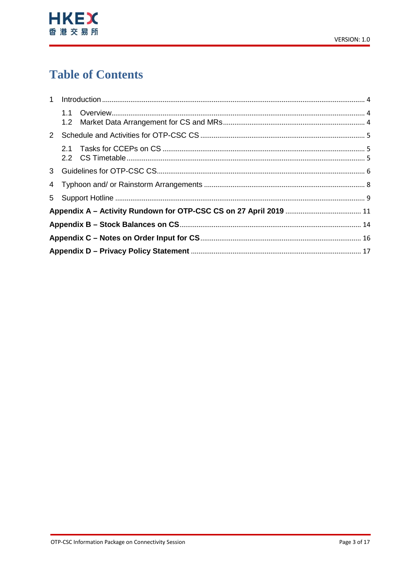

# **Table of Contents**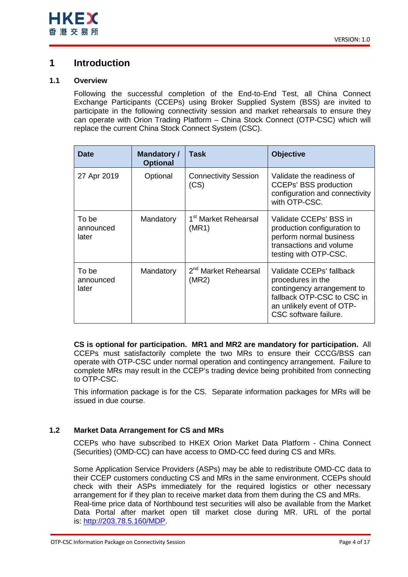

## <span id="page-3-0"></span>**1 Introduction**

### <span id="page-3-1"></span>**1.1 Overview**

Following the successful completion of the End-to-End Test, all China Connect Exchange Participants (CCEPs) using Broker Supplied System (BSS) are invited to participate in the following connectivity session and market rehearsals to ensure they can operate with Orion Trading Platform – China Stock Connect (OTP-CSC) which will replace the current China Stock Connect System (CSC).

| <b>Date</b>                 | <b>Mandatory /</b><br><b>Optional</b> | Task                                      | <b>Objective</b>                                                                                                                                                |
|-----------------------------|---------------------------------------|-------------------------------------------|-----------------------------------------------------------------------------------------------------------------------------------------------------------------|
| 27 Apr 2019                 | Optional                              | <b>Connectivity Session</b><br>(CS)       | Validate the readiness of<br><b>CCEPs' BSS production</b><br>configuration and connectivity<br>with OTP-CSC.                                                    |
| To be<br>announced<br>later | Mandatory                             | 1 <sup>st</sup> Market Rehearsal<br>(MR1) | Validate CCEPs' BSS in<br>production configuration to<br>perform normal business<br>transactions and volume<br>testing with OTP-CSC.                            |
| To be<br>announced<br>later | Mandatory                             | 2 <sup>nd</sup> Market Rehearsal<br>(MR2) | Validate CCEPs' fallback<br>procedures in the<br>contingency arrangement to<br>fallback OTP-CSC to CSC in<br>an unlikely event of OTP-<br>CSC software failure. |

**CS is optional for participation. MR1 and MR2 are mandatory for participation.** All CCEPs must satisfactorily complete the two MRs to ensure their CCCG/BSS can operate with OTP-CSC under normal operation and contingency arrangement. Failure to complete MRs may result in the CCEP's trading device being prohibited from connecting to OTP-CSC.

This information package is for the CS. Separate information packages for MRs will be issued in due course.

### <span id="page-3-2"></span>**1.2 Market Data Arrangement for CS and MRs**

CCEPs who have subscribed to HKEX Orion Market Data Platform - China Connect (Securities) (OMD-CC) can have access to OMD-CC feed during CS and MRs.

Some Application Service Providers (ASPs) may be able to redistribute OMD-CC data to their CCEP customers conducting CS and MRs in the same environment. CCEPs should check with their ASPs immediately for the required logistics or other necessary arrangement for if they plan to receive market data from them during the CS and MRs. Real-time price data of Northbound test securities will also be available from the Market Data Portal after market open till market close during MR. URL of the portal is: [http://203.78.5.160/MDP.](http://203.78.5.160/MDP)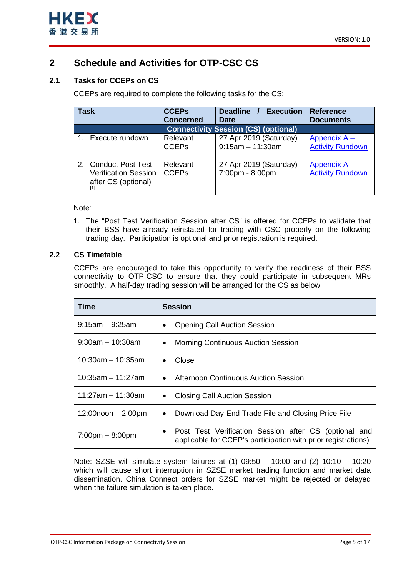

# <span id="page-4-0"></span>**2 Schedule and Activities for OTP-CSC CS**

### <span id="page-4-1"></span>**2.1 Tasks for CCEPs on CS**

CCEPs are required to complete the following tasks for the CS:

| Task                                                                                 | <b>CCEPs</b>             | Deadline / Execution                        | <b>Reference</b>                        |
|--------------------------------------------------------------------------------------|--------------------------|---------------------------------------------|-----------------------------------------|
|                                                                                      | <b>Concerned</b>         | <b>Date</b>                                 | <b>Documents</b>                        |
|                                                                                      |                          | <b>Connectivity Session (CS) (optional)</b> |                                         |
| Execute rundown                                                                      | Relevant                 | 27 Apr 2019 (Saturday)                      | Appendix A -                            |
|                                                                                      | <b>CCEPs</b>             | $9:15$ am - 11:30am                         | <b>Activity Rundown</b>                 |
| <b>Conduct Post Test</b><br>2.<br><b>Verification Session</b><br>after CS (optional) | Relevant<br><b>CCEPs</b> | 27 Apr 2019 (Saturday)<br>7:00pm - 8:00pm   | Appendix A -<br><b>Activity Rundown</b> |

Note:

1. The "Post Test Verification Session after CS" is offered for CCEPs to validate that their BSS have already reinstated for trading with CSC properly on the following trading day. Participation is optional and prior registration is required.

### <span id="page-4-2"></span>**2.2 CS Timetable**

CCEPs are encouraged to take this opportunity to verify the readiness of their BSS connectivity to OTP-CSC to ensure that they could participate in subsequent MRs smoothly. A half-day trading session will be arranged for the CS as below:

| Time                              | <b>Session</b>                                                                                                         |  |  |
|-----------------------------------|------------------------------------------------------------------------------------------------------------------------|--|--|
| $9:15$ am – $9:25$ am             | <b>Opening Call Auction Session</b>                                                                                    |  |  |
| $9:30$ am – 10:30am               | <b>Morning Continuous Auction Session</b>                                                                              |  |  |
| $10:30$ am – 10:35am              | Close<br>$\bullet$                                                                                                     |  |  |
| $10:35am - 11:27am$               | <b>Afternoon Continuous Auction Session</b><br>$\bullet$                                                               |  |  |
| 11:27am – 11:30am                 | <b>Closing Call Auction Session</b><br>$\bullet$                                                                       |  |  |
| $12:00$ noon $-2:00$ pm           | Download Day-End Trade File and Closing Price File                                                                     |  |  |
| $7:00 \text{pm} - 8:00 \text{pm}$ | Post Test Verification Session after CS (optional and<br>applicable for CCEP's participation with prior registrations) |  |  |

Note: SZSE will simulate system failures at (1) 09:50 – 10:00 and (2) 10:10 – 10:20 which will cause short interruption in SZSE market trading function and market data dissemination. China Connect orders for SZSE market might be rejected or delayed when the failure simulation is taken place.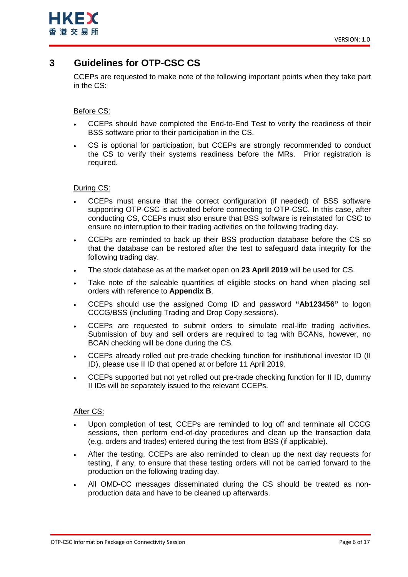

## <span id="page-5-0"></span>**3 Guidelines for OTP-CSC CS**

CCEPs are requested to make note of the following important points when they take part in the CS:

### Before CS:

- CCEPs should have completed the End-to-End Test to verify the readiness of their BSS software prior to their participation in the CS.
- CS is optional for participation, but CCEPs are strongly recommended to conduct the CS to verify their systems readiness before the MRs. Prior registration is required.

### During CS:

- CCEPs must ensure that the correct configuration (if needed) of BSS software supporting OTP-CSC is activated before connecting to OTP-CSC. In this case, after conducting CS, CCEPs must also ensure that BSS software is reinstated for CSC to ensure no interruption to their trading activities on the following trading day.
- CCEPs are reminded to back up their BSS production database before the CS so that the database can be restored after the test to safeguard data integrity for the following trading day.
- The stock database as at the market open on **23 April 2019** will be used for CS.
- Take note of the saleable quantities of eligible stocks on hand when placing sell orders with reference to **Appendix B**.
- CCEPs should use the assigned Comp ID and password **"Ab123456"** to logon CCCG/BSS (including Trading and Drop Copy sessions).
- CCEPs are requested to submit orders to simulate real-life trading activities. Submission of buy and sell orders are required to tag with BCANs, however, no BCAN checking will be done during the CS.
- CCEPs already rolled out pre-trade checking function for institutional investor ID (II ID), please use II ID that opened at or before 11 April 2019.
- CCEPs supported but not yet rolled out pre-trade checking function for II ID, dummy II IDs will be separately issued to the relevant CCEPs.

### After CS:

- Upon completion of test, CCEPs are reminded to log off and terminate all CCCG sessions, then perform end-of-day procedures and clean up the transaction data (e.g. orders and trades) entered during the test from BSS (if applicable).
- After the testing, CCEPs are also reminded to clean up the next day requests for testing, if any, to ensure that these testing orders will not be carried forward to the production on the following trading day.
- All OMD-CC messages disseminated during the CS should be treated as nonproduction data and have to be cleaned up afterwards.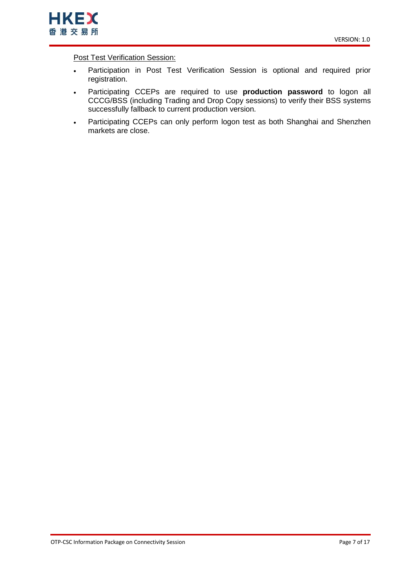

**Post Test Verification Session:** 

- Participation in Post Test Verification Session is optional and required prior registration.
- Participating CCEPs are required to use **production password** to logon all CCCG/BSS (including Trading and Drop Copy sessions) to verify their BSS systems successfully fallback to current production version.
- Participating CCEPs can only perform logon test as both Shanghai and Shenzhen markets are close.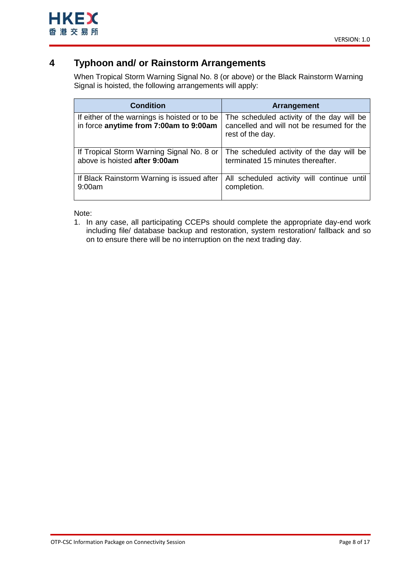

## <span id="page-7-0"></span>**4 Typhoon and/ or Rainstorm Arrangements**

When Tropical Storm Warning Signal No. 8 (or above) or the Black Rainstorm Warning Signal is hoisted, the following arrangements will apply:

| <b>Condition</b>                                                                        | Arrangement                                                                                                |
|-----------------------------------------------------------------------------------------|------------------------------------------------------------------------------------------------------------|
| If either of the warnings is hoisted or to be<br>in force anytime from 7:00am to 9:00am | The scheduled activity of the day will be<br>cancelled and will not be resumed for the<br>rest of the day. |
| If Tropical Storm Warning Signal No. 8 or                                               | The scheduled activity of the day will be                                                                  |
| above is hoisted after 9:00am                                                           | terminated 15 minutes thereafter.                                                                          |
| If Black Rainstorm Warning is issued after                                              | All scheduled activity will continue until                                                                 |
| 9:00am                                                                                  | completion.                                                                                                |

Note:

1. In any case, all participating CCEPs should complete the appropriate day-end work including file/ database backup and restoration, system restoration/ fallback and so on to ensure there will be no interruption on the next trading day.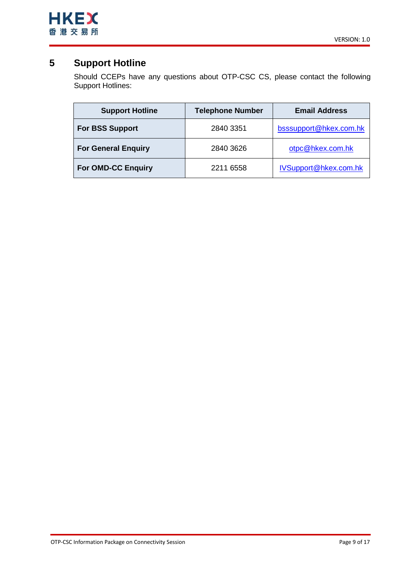

# <span id="page-8-0"></span>**5 Support Hotline**

Should CCEPs have any questions about OTP-CSC CS, please contact the following Support Hotlines:

| <b>Support Hotline</b>     | <b>Telephone Number</b> | <b>Email Address</b>   |
|----------------------------|-------------------------|------------------------|
| <b>For BSS Support</b>     | 2840 3351               | bsssupport@hkex.com.hk |
| <b>For General Enquiry</b> | 2840 3626               | otpc@hkex.com.hk       |
| <b>For OMD-CC Enquiry</b>  | 2211 6558               | IVSupport@hkex.com.hk  |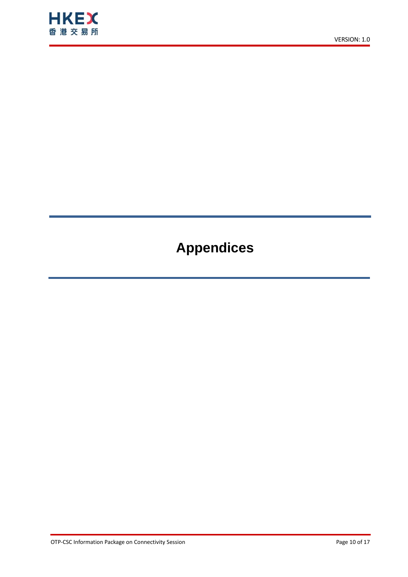

# **Appendices**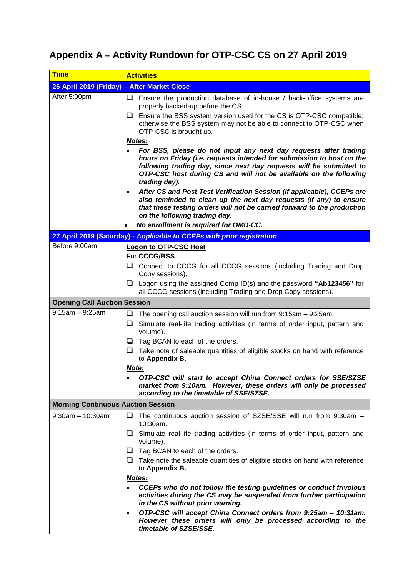# <span id="page-10-0"></span>**Appendix A – Activity Rundown for OTP-CSC CS on 27 April 2019**

| <b>Time</b>                                 | <b>Activities</b>                                                                                                                                                                                                                                                                                      |  |  |
|---------------------------------------------|--------------------------------------------------------------------------------------------------------------------------------------------------------------------------------------------------------------------------------------------------------------------------------------------------------|--|--|
| 26 April 2019 (Friday) - After Market Close |                                                                                                                                                                                                                                                                                                        |  |  |
| After 5:00pm                                | u<br>Ensure the production database of in-house / back-office systems are<br>properly backed-up before the CS.                                                                                                                                                                                         |  |  |
|                                             | $\Box$ Ensure the BSS system version used for the CS is OTP-CSC compatible;<br>otherwise the BSS system may not be able to connect to OTP-CSC when<br>OTP-CSC is brought up.                                                                                                                           |  |  |
|                                             | Notes:                                                                                                                                                                                                                                                                                                 |  |  |
|                                             | For BSS, please do not input any next day requests after trading<br>hours on Friday (i.e. requests intended for submission to host on the<br>following trading day, since next day requests will be submitted to<br>OTP-CSC host during CS and will not be available on the following<br>trading day). |  |  |
|                                             | After CS and Post Test Verification Session (if applicable), CCEPs are<br>$\bullet$<br>also reminded to clean up the next day requests (if any) to ensure<br>that these testing orders will not be carried forward to the production<br>on the following trading day.                                  |  |  |
|                                             | No enrollment is required for OMD-CC.                                                                                                                                                                                                                                                                  |  |  |
|                                             | 27 April 2019 (Saturday) - Applicable to CCEPs with prior registration                                                                                                                                                                                                                                 |  |  |
| Before 9:00am                               | <b>Logon to OTP-CSC Host</b>                                                                                                                                                                                                                                                                           |  |  |
|                                             | For CCCG/BSS                                                                                                                                                                                                                                                                                           |  |  |
|                                             | Connect to CCCG for all CCCG sessions (including Trading and Drop<br>⊔<br>Copy sessions).                                                                                                                                                                                                              |  |  |
|                                             | $\Box$ Logon using the assigned Comp ID(s) and the password "Ab123456" for<br>all CCCG sessions (including Trading and Drop Copy sessions).                                                                                                                                                            |  |  |
| <b>Opening Call Auction Session</b>         |                                                                                                                                                                                                                                                                                                        |  |  |
| $9:15am - 9:25am$                           | ❏<br>The opening call auction session will run from $9:15$ am $-9:25$ am.                                                                                                                                                                                                                              |  |  |
|                                             | Simulate real-life trading activities (in terms of order input, pattern and<br>u.<br>volume).                                                                                                                                                                                                          |  |  |
|                                             | $\Box$ Tag BCAN to each of the orders.                                                                                                                                                                                                                                                                 |  |  |
|                                             | u.<br>Take note of saleable quantities of eligible stocks on hand with reference<br>to Appendix B.                                                                                                                                                                                                     |  |  |
|                                             | Note:                                                                                                                                                                                                                                                                                                  |  |  |
|                                             | OTP-CSC will start to accept China Connect orders for SSE/SZSE<br>market from 9:10am. However, these orders will only be processed<br>according to the timetable of SSE/SZSE.                                                                                                                          |  |  |
| <b>Morning Continuous Auction Session</b>   |                                                                                                                                                                                                                                                                                                        |  |  |
| $9:30$ am $-10:30$ am                       | $\Box$ The continuous auction session of SZSE/SSE will run from 9:30am -<br>10:30am.                                                                                                                                                                                                                   |  |  |
|                                             | Simulate real-life trading activities (in terms of order input, pattern and<br>┙<br>volume).                                                                                                                                                                                                           |  |  |
|                                             | Tag BCAN to each of the orders.<br>u                                                                                                                                                                                                                                                                   |  |  |
|                                             | $\Box$ Take note the saleable quantities of eligible stocks on hand with reference<br>to Appendix B.                                                                                                                                                                                                   |  |  |
|                                             | Notes:                                                                                                                                                                                                                                                                                                 |  |  |
|                                             | CCEPs who do not follow the testing guidelines or conduct frivolous<br>activities during the CS may be suspended from further participation<br>in the CS without prior warning.                                                                                                                        |  |  |
|                                             | OTP-CSC will accept China Connect orders from 9:25am - 10:31am.<br>$\bullet$<br>However these orders will only be processed according to the<br>timetable of SZSE/SSE.                                                                                                                                 |  |  |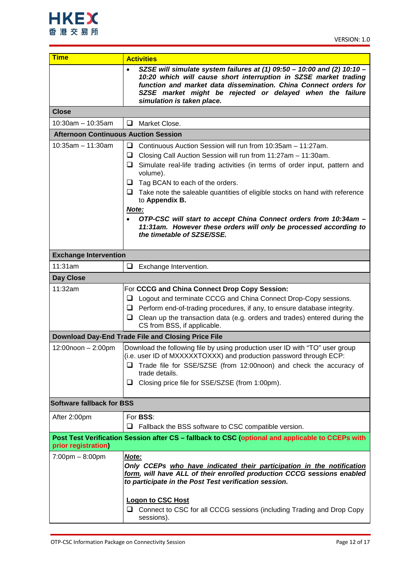

| <b>Time</b>                                 | <b>Activities</b>                                                                                                                                                                                                                                                                                                                                                                                                                                                                                                                                                         |  |  |
|---------------------------------------------|---------------------------------------------------------------------------------------------------------------------------------------------------------------------------------------------------------------------------------------------------------------------------------------------------------------------------------------------------------------------------------------------------------------------------------------------------------------------------------------------------------------------------------------------------------------------------|--|--|
|                                             | SZSE will simulate system failures at (1) $09:50 - 10:00$ and (2) $10:10 -$<br>$\bullet$<br>10:20 which will cause short interruption in SZSE market trading<br>function and market data dissemination. China Connect orders for<br>SZSE market might be rejected or delayed when the failure<br>simulation is taken place.                                                                                                                                                                                                                                               |  |  |
| <b>Close</b>                                |                                                                                                                                                                                                                                                                                                                                                                                                                                                                                                                                                                           |  |  |
| $10:30$ am - 10:35am                        | Market Close.<br>□                                                                                                                                                                                                                                                                                                                                                                                                                                                                                                                                                        |  |  |
| <b>Afternoon Continuous Auction Session</b> |                                                                                                                                                                                                                                                                                                                                                                                                                                                                                                                                                                           |  |  |
| $10:35am - 11:30am$                         | Continuous Auction Session will run from 10:35am - 11:27am.<br>u.<br>Closing Call Auction Session will run from 11:27am - 11:30am.<br>⊔<br>$\Box$ Simulate real-life trading activities (in terms of order input, pattern and<br>volume).<br>Tag BCAN to each of the orders.<br>u<br>$\Box$ Take note the saleable quantities of eligible stocks on hand with reference<br>to Appendix B.<br>Note:<br>OTP-CSC will start to accept China Connect orders from 10:34am -<br>11:31am. However these orders will only be processed according to<br>the timetable of SZSE/SSE. |  |  |
| <b>Exchange Intervention</b>                |                                                                                                                                                                                                                                                                                                                                                                                                                                                                                                                                                                           |  |  |
| 11:31am                                     | ❏<br>Exchange Intervention.                                                                                                                                                                                                                                                                                                                                                                                                                                                                                                                                               |  |  |
| Day Close                                   |                                                                                                                                                                                                                                                                                                                                                                                                                                                                                                                                                                           |  |  |
| 11:32am                                     | For CCCG and China Connect Drop Copy Session:<br>Logout and terminate CCCG and China Connect Drop-Copy sessions.<br>⊔<br>Perform end-of-trading procedures, if any, to ensure database integrity.<br>⊔<br>$\Box$ Clean up the transaction data (e.g. orders and trades) entered during the<br>CS from BSS, if applicable.                                                                                                                                                                                                                                                 |  |  |
|                                             | Download Day-End Trade File and Closing Price File                                                                                                                                                                                                                                                                                                                                                                                                                                                                                                                        |  |  |
| 12:00noon - 2:00pm                          | Download the following file by using production user ID with "TO" user group<br>(i.e. user ID of MXXXXXTOXXX) and production password through ECP:<br>Trade file for SSE/SZSE (from 12:00noon) and check the accuracy of<br>□<br>trade details.<br>□ Closing price file for SSE/SZSE (from 1:00pm).                                                                                                                                                                                                                                                                       |  |  |
| <b>Software fallback for BSS</b>            |                                                                                                                                                                                                                                                                                                                                                                                                                                                                                                                                                                           |  |  |
| After 2:00pm                                | For <b>BSS:</b><br>Fallback the BSS software to CSC compatible version.<br>u                                                                                                                                                                                                                                                                                                                                                                                                                                                                                              |  |  |
| prior registration)                         | Post Test Verification Session after CS - fallback to CSC (optional and applicable to CCEPs with                                                                                                                                                                                                                                                                                                                                                                                                                                                                          |  |  |
| $7:00 \text{pm} - 8:00 \text{pm}$           | Note:<br>Only CCEPs who have indicated their participation in the notification<br>form, will have ALL of their enrolled production CCCG sessions enabled<br>to participate in the Post Test verification session.                                                                                                                                                                                                                                                                                                                                                         |  |  |
|                                             | <b>Logon to CSC Host</b><br>Connect to CSC for all CCCG sessions (including Trading and Drop Copy<br>⊔<br>sessions).                                                                                                                                                                                                                                                                                                                                                                                                                                                      |  |  |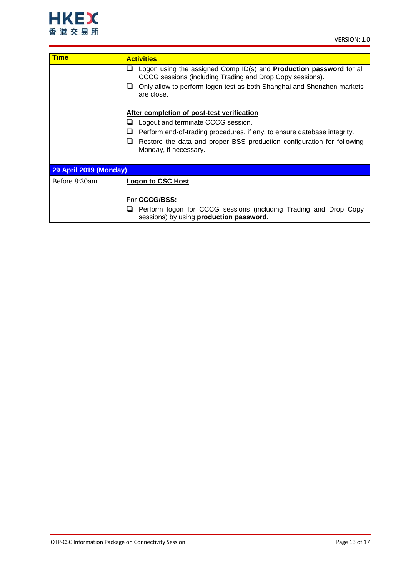

| <b>Time</b>                   | <b>Activities</b>                                                                                                                                                                                                                                                              |  |
|-------------------------------|--------------------------------------------------------------------------------------------------------------------------------------------------------------------------------------------------------------------------------------------------------------------------------|--|
|                               | Logon using the assigned Comp ID(s) and <b>Production password</b> for all<br>❏<br>CCCG sessions (including Trading and Drop Copy sessions).                                                                                                                                   |  |
|                               | Only allow to perform logon test as both Shanghai and Shenzhen markets<br>ப<br>are close.                                                                                                                                                                                      |  |
|                               | After completion of post-test verification<br>Logout and terminate CCCG session.<br>⊔<br>⊔<br>Perform end-of-trading procedures, if any, to ensure database integrity.<br>Restore the data and proper BSS production configuration for following<br>ப<br>Monday, if necessary. |  |
| <b>29 April 2019 (Monday)</b> |                                                                                                                                                                                                                                                                                |  |
| Before 8:30am                 | <b>Logon to CSC Host</b>                                                                                                                                                                                                                                                       |  |
|                               | For <b>CCCG/BSS:</b>                                                                                                                                                                                                                                                           |  |
|                               | Perform logon for CCCG sessions (including Trading and Drop Copy<br>⊔<br>sessions) by using production password.                                                                                                                                                               |  |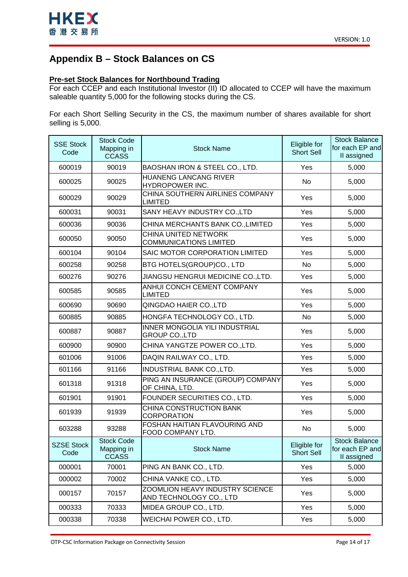

# <span id="page-13-0"></span>**Appendix B – Stock Balances on CS**

### **Pre-set Stock Balances for Northbound Trading**

For each CCEP and each Institutional Investor (II) ID allocated to CCEP will have the maximum saleable quantity 5,000 for the following stocks during the CS.

For each Short Selling Security in the CS, the maximum number of shares available for short selling is 5,000.

| <b>SSE Stock</b><br>Code | <b>Stock Code</b><br>Mapping in<br><b>CCASS</b> | <b>Stock Name</b>                                                 | Eligible for<br><b>Short Sell</b> | <b>Stock Balance</b><br>for each EP and<br>II assigned |
|--------------------------|-------------------------------------------------|-------------------------------------------------------------------|-----------------------------------|--------------------------------------------------------|
| 600019                   | 90019                                           | BAOSHAN IRON & STEEL CO., LTD.                                    | Yes                               | 5,000                                                  |
| 600025                   | 90025                                           | HUANENG LANCANG RIVER<br>HYDROPOWER INC.                          | <b>No</b>                         | 5,000                                                  |
| 600029                   | 90029                                           | CHINA SOUTHERN AIRLINES COMPANY<br><b>LIMITED</b>                 | Yes                               | 5,000                                                  |
| 600031                   | 90031                                           | SANY HEAVY INDUSTRY CO., LTD                                      | Yes                               | 5,000                                                  |
| 600036                   | 90036                                           | CHINA MERCHANTS BANK CO., LIMITED                                 | Yes                               | 5,000                                                  |
| 600050                   | 90050                                           | CHINA UNITED NETWORK<br><b>COMMUNICATIONS LIMITED</b>             | Yes                               | 5,000                                                  |
| 600104                   | 90104                                           | SAIC MOTOR CORPORATION LIMITED                                    | Yes                               | 5,000                                                  |
| 600258                   | 90258                                           | BTG HOTELS(GROUP)CO., LTD                                         | No                                | 5,000                                                  |
| 600276                   | 90276                                           | JIANGSU HENGRUI MEDICINE CO., LTD.                                | Yes                               | 5,000                                                  |
| 600585                   | 90585                                           | ANHUI CONCH CEMENT COMPANY<br><b>LIMITED</b>                      | Yes                               | 5,000                                                  |
| 600690                   | 90690                                           | QINGDAO HAIER CO., LTD                                            | Yes                               | 5,000                                                  |
| 600885                   | 90885                                           | HONGFA TECHNOLOGY CO., LTD.                                       | <b>No</b>                         | 5,000                                                  |
| 600887                   | 90887                                           | INNER MONGOLIA YILI INDUSTRIAL<br><b>GROUP CO.,LTD</b>            | Yes                               | 5,000                                                  |
| 600900                   | 90900                                           | CHINA YANGTZE POWER CO., LTD.                                     | Yes                               | 5,000                                                  |
| 601006                   | 91006                                           | DAQIN RAILWAY CO., LTD.                                           | Yes                               | 5,000                                                  |
| 601166                   | 91166                                           | INDUSTRIAL BANK CO., LTD.                                         | Yes                               | 5,000                                                  |
| 601318                   | 91318                                           | PING AN INSURANCE (GROUP) COMPANY<br>OF CHINA, LTD.               | Yes                               | 5,000                                                  |
| 601901                   | 91901                                           | FOUNDER SECURITIES CO., LTD.                                      | Yes                               | 5,000                                                  |
| 601939                   | 91939                                           | CHINA CONSTRUCTION BANK<br><b>CORPORATION</b>                     | Yes                               | 5,000                                                  |
| 603288                   | 93288                                           | FOSHAN HAITIAN FLAVOURING AND<br>FOOD COMPANY LTD.                | No                                | 5,000                                                  |
| SZSE Stock<br>Code       | <b>Stock Code</b><br>Mapping in<br><b>CCASS</b> | <b>Stock Name</b>                                                 | Eligible for<br><b>Short Sell</b> | <b>Stock Balance</b><br>for each EP and<br>II assigned |
| 000001                   | 70001                                           | PING AN BANK CO., LTD.                                            | Yes                               | 5,000                                                  |
| 000002                   | 70002                                           | CHINA VANKE CO., LTD.                                             | Yes                               | 5,000                                                  |
| 000157                   | 70157                                           | <b>ZOOMLION HEAVY INDUSTRY SCIENCE</b><br>AND TECHNOLOGY CO., LTD | Yes                               | 5,000                                                  |
| 000333                   | 70333                                           | MIDEA GROUP CO., LTD.                                             | Yes                               | 5,000                                                  |
| 000338                   | 70338                                           | WEICHAI POWER CO., LTD.                                           | Yes                               | 5,000                                                  |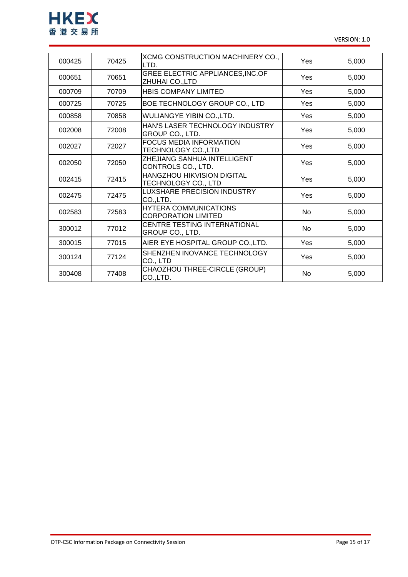

| 000425 | 70425 | XCMG CONSTRUCTION MACHINERY CO.,<br>LTD.                   | Yes | 5,000 |
|--------|-------|------------------------------------------------------------|-----|-------|
| 000651 | 70651 | GREE ELECTRIC APPLIANCES, INC.OF<br>ZHUHAI CO., LTD        | Yes | 5,000 |
| 000709 | 70709 | <b>HBIS COMPANY LIMITED</b>                                | Yes | 5,000 |
| 000725 | 70725 | BOE TECHNOLOGY GROUP CO., LTD                              | Yes | 5,000 |
| 000858 | 70858 | WULIANGYE YIBIN CO.,LTD.                                   | Yes | 5,000 |
| 002008 | 72008 | HAN'S LASER TECHNOLOGY INDUSTRY<br>GROUP CO., LTD.         | Yes | 5,000 |
| 002027 | 72027 | <b>FOCUS MEDIA INFORMATION</b><br>TECHNOLOGY CO.,LTD       | Yes | 5,000 |
| 002050 | 72050 | ZHEJIANG SANHUA INTELLIGENT<br>CONTROLS CO., LTD.          | Yes | 5,000 |
| 002415 | 72415 | HANGZHOU HIKVISION DIGITAL<br>TECHNOLOGY CO., LTD          | Yes | 5,000 |
| 002475 | 72475 | LUXSHARE PRECISION INDUSTRY<br>CO.,LTD.                    | Yes | 5,000 |
| 002583 | 72583 | <b>HYTERA COMMUNICATIONS</b><br><b>CORPORATION LIMITED</b> | No  | 5,000 |
| 300012 | 77012 | CENTRE TESTING INTERNATIONAL<br>GROUP CO., LTD.            | No  | 5,000 |
| 300015 | 77015 | AIER EYE HOSPITAL GROUP CO.,LTD.                           | Yes | 5,000 |
| 300124 | 77124 | SHENZHEN INOVANCE TECHNOLOGY<br>CO., LTD                   | Yes | 5,000 |
| 300408 | 77408 | CHAOZHOU THREE-CIRCLE (GROUP)<br>CO.,LTD.                  | No  | 5,000 |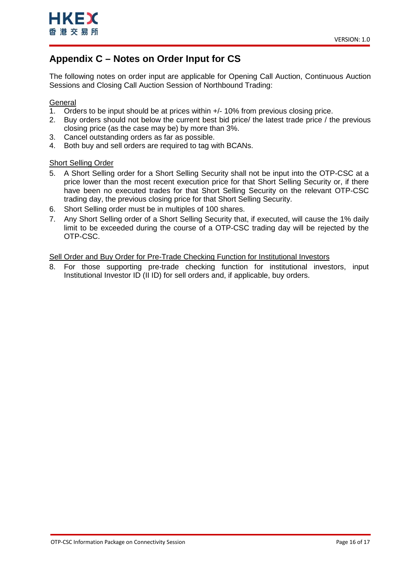

# <span id="page-15-0"></span>**Appendix C – Notes on Order Input for CS**

The following notes on order input are applicable for Opening Call Auction, Continuous Auction Sessions and Closing Call Auction Session of Northbound Trading:

### **General**

- 1. Orders to be input should be at prices within +/- 10% from previous closing price.
- 2. Buy orders should not below the current best bid price/ the latest trade price / the previous closing price (as the case may be) by more than 3%.
- 3. Cancel outstanding orders as far as possible.
- 4. Both buy and sell orders are required to tag with BCANs.

### Short Selling Order

- 5. A Short Selling order for a Short Selling Security shall not be input into the OTP-CSC at a price lower than the most recent execution price for that Short Selling Security or, if there have been no executed trades for that Short Selling Security on the relevant OTP-CSC trading day, the previous closing price for that Short Selling Security.
- 6. Short Selling order must be in multiples of 100 shares.
- 7. Any Short Selling order of a Short Selling Security that, if executed, will cause the 1% daily limit to be exceeded during the course of a OTP-CSC trading day will be rejected by the OTP-CSC.

Sell Order and Buy Order for Pre-Trade Checking Function for Institutional Investors

8. For those supporting pre-trade checking function for institutional investors, input Institutional Investor ID (II ID) for sell orders and, if applicable, buy orders.